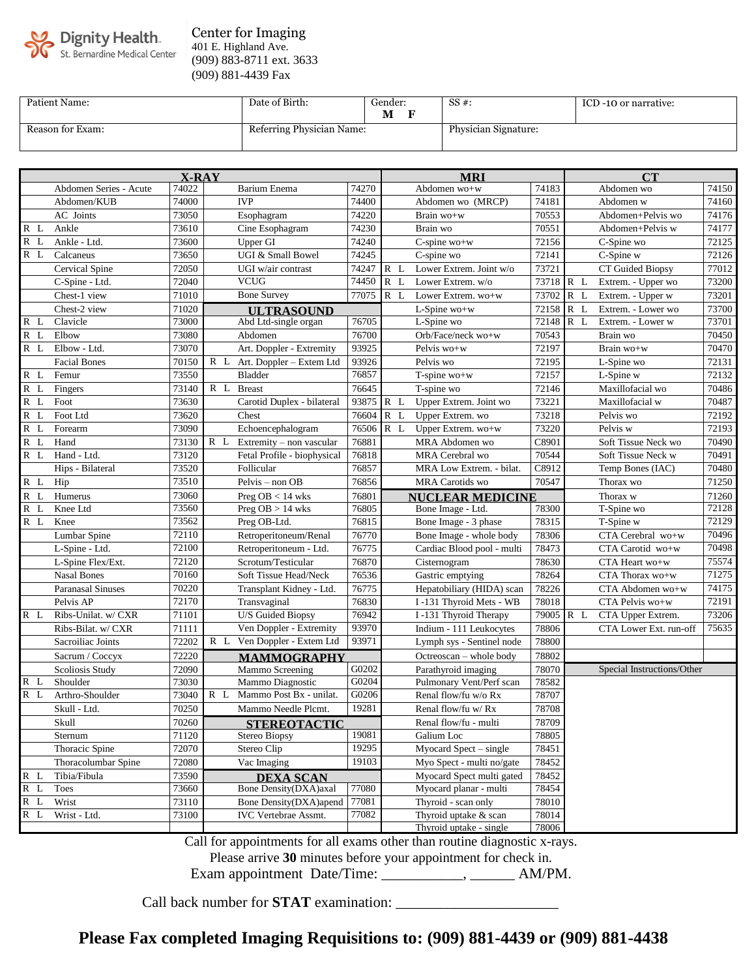

#### Center for Imaging 401 E. Highland Ave. (909) 883-8711 ext. 3633 (909) 881-4439 Fax

| Patient Name:    | Date of Birth:            | Gender:<br>М | $SS#$ :              | ICD -10 or narrative: |
|------------------|---------------------------|--------------|----------------------|-----------------------|
| Reason for Exam: | Referring Physician Name: |              | Physician Signature: |                       |

| <b>X-RAY</b> |                          |       |                                 | <b>MRI</b> |                         |                            | CT        |  |                            |       |
|--------------|--------------------------|-------|---------------------------------|------------|-------------------------|----------------------------|-----------|--|----------------------------|-------|
|              | Abdomen Series - Acute   | 74022 | Barium Enema                    | 74270      |                         | Abdomen wo+w               | 74183     |  | Abdomen wo                 | 74150 |
|              | Abdomen/KUB              | 74000 | <b>IVP</b>                      | 74400      |                         | Abdomen wo (MRCP)          | 74181     |  | Abdomen w                  | 74160 |
|              | AC Joints                | 73050 | Esophagram                      | 74220      |                         | Brain wo+w                 | 70553     |  | Abdomen+Pelvis wo          | 74176 |
| R L          | Ankle                    | 73610 | Cine Esophagram                 | 74230      |                         | Brain wo                   | 70551     |  | Abdomen+Pelvis w           | 74177 |
| $R$ $L$      | Ankle - Ltd.             | 73600 | Upper GI                        | 74240      |                         | $C$ -spine wo+w            | 72156     |  | C-Spine wo                 | 72125 |
| R L          | Calcaneus                | 73650 | UGI & Small Bowel               | 74245      |                         | $C$ -spine $\overline{wo}$ | 72141     |  | C-Spine w                  | 72126 |
|              | Cervical Spine           | 72050 | UGI w/air contrast              | 74247      | $R$ $L$                 | Lower Extrem. Joint w/o    | 73721     |  | CT Guided Biopsy           | 77012 |
|              | C-Spine - Ltd.           | 72040 | <b>VCUG</b>                     | 74450      | R L                     | Lower Extrem. w/o          | 73718 R L |  | Extrem. - Upper wo         | 73200 |
|              | Chest-1 view             | 71010 | <b>Bone Survey</b>              | 77075      | R L                     | Lower Extrem. wo+w         | 73702 R L |  | Extrem. - Upper w          | 73201 |
|              | Chest-2 view             | 71020 | <b>ULTRASOUND</b>               |            |                         | L-Spine wo+w               | 72158 R L |  | Extrem. - Lower wo         | 73700 |
| $R$ L        | Clavicle                 | 73000 | Abd Ltd-single organ            | 76705      |                         | L-Spine wo                 | 72148 R L |  | Extrem. - Lower w          | 73701 |
| $R$ $L$      | Elbow                    | 73080 | Abdomen                         | 76700      |                         | Orb/Face/neck wo+w         | 70543     |  | Brain wo                   | 70450 |
| R L          | Elbow - Ltd.             | 73070 | Art. Doppler - Extremity        | 93925      |                         | Pelvis wo+w                | 72197     |  | Brain wo+w                 | 70470 |
|              | <b>Facial Bones</b>      | 70150 | R L Art. Doppler - Extem Ltd    | 93926      |                         | Pelvis wo                  | 72195     |  | L-Spine wo                 | 72131 |
| $R$ L        | Femur                    | 73550 | Bladder                         | 76857      |                         | $T$ -spine wo+w            | 72157     |  | L-Spine w                  | 72132 |
| $R$ L        | Fingers                  | 73140 | R L<br><b>Breast</b>            | 76645      |                         | T-spine wo                 | 72146     |  | Maxillofacial wo           | 70486 |
| $R$ L        | Foot                     | 73630 | Carotid Duplex - bilateral      | 93875      | R L                     | Upper Extrem. Joint wo     | 73221     |  | Maxillofacial w            | 70487 |
| $R$ L        | Foot Ltd                 | 73620 | Chest                           | 76604      | R L                     | Upper Extrem. wo           | 73218     |  | Pelvis wo                  | 72192 |
| R L          | Forearm                  | 73090 | Echoencephalogram               | 76506      | R L                     | Upper Extrem. wo+w         | 73220     |  | Pelvis w                   | 72193 |
| $R$ L        | Hand                     | 73130 | R L<br>Extremity - non vascular | 76881      |                         | MRA Abdomen wo             | C8901     |  | Soft Tissue Neck wo        | 70490 |
| $R$ $L$      | Hand - Ltd.              | 73120 | Fetal Profile - biophysical     | 76818      |                         | MRA Cerebral wo            | 70544     |  | Soft Tissue Neck w         | 70491 |
|              | Hips - Bilateral         | 73520 | Follicular                      | 76857      |                         | MRA Low Extrem. - bilat.   | C8912     |  | Temp Bones (IAC)           | 70480 |
| $R$ $L$      | Hip                      | 73510 | Pelvis – non OB                 | 76856      |                         | <b>MRA</b> Carotids wo     | 70547     |  | Thorax wo                  | 71250 |
| $R$ L        | Humerus                  | 73060 | Preg $OB < 14$ wks              | 76801      | <b>NUCLEAR MEDICINE</b> |                            |           |  | Thorax w                   | 71260 |
| R L          | Knee Ltd                 | 73560 | Preg $OB > 14$ wks              | 76805      |                         | Bone Image - Ltd.          | 78300     |  | T-Spine wo                 | 72128 |
| R L          | Knee                     | 73562 | Preg OB-Ltd.                    | 76815      |                         | Bone Image - 3 phase       | 78315     |  | T-Spine w                  | 72129 |
|              | Lumbar Spine             | 72110 | Retroperitoneum/Renal           | 76770      |                         | Bone Image - whole body    | 78306     |  | CTA Cerebral wo+w          | 70496 |
|              | L-Spine - Ltd.           | 72100 | Retroperitoneum - Ltd.          | 76775      |                         | Cardiac Blood pool - multi | 78473     |  | CTA Carotid wo+w           | 70498 |
|              | L-Spine Flex/Ext.        | 72120 | Scrotum/Testicular              | 76870      |                         | Cisternogram               | 78630     |  | CTA Heart wo+w             | 75574 |
|              | <b>Nasal Bones</b>       | 70160 | Soft Tissue Head/Neck           | 76536      |                         | Gastric emptying           | 78264     |  | CTA Thorax wo+w            | 71275 |
|              | <b>Paranasal Sinuses</b> | 70220 | Transplant Kidney - Ltd.        | 76775      |                         | Hepatobiliary (HIDA) scan  | 78226     |  | CTA Abdomen wo+w           | 74175 |
|              | Pelvis AP                | 72170 | Transvaginal                    | 76830      |                         | I-131 Thyroid Mets - WB    | 78018     |  | CTA Pelvis wo+w            | 72191 |
| R L          | Ribs-Unilat. w/ CXR      | 71101 | U/S Guided Biopsy               | 76942      |                         | I-131 Thyroid Therapy      | 79005 R L |  | CTA Upper Extrem.          | 73206 |
|              | Ribs-Bilat. w/ CXR       | 71111 | Ven Doppler - Extremity         | 93970      |                         | Indium - 111 Leukocytes    | 78806     |  | CTA Lower Ext. run-off     | 75635 |
|              | Sacroiliac Joints        | 72202 | R L Ven Doppler - Extem Ltd     | 93971      |                         | Lymph sys - Sentinel node  | 78800     |  |                            |       |
|              | Sacrum / Coccyx          | 72220 | <b>MAMMOGRAPHY</b>              |            |                         | Octreoscan - whole body    | 78802     |  |                            |       |
|              | Scoliosis Study          | 72090 | Mammo Screening                 | G0202      |                         | Parathyroid imaging        | 78070     |  | Special Instructions/Other |       |
| R L          | Shoulder                 | 73030 | Mammo Diagnostic                | G0204      |                         | Pulmonary Vent/Perf scan   | 78582     |  |                            |       |
| R L          | Arthro-Shoulder          | 73040 | Mammo Post Bx - unilat.<br>R L  | G0206      |                         | Renal flow/fu w/o Rx       | 78707     |  |                            |       |
|              | Skull - Ltd.             | 70250 | Mammo Needle Plcmt.             | 19281      |                         | Renal flow/fu w/ Rx        | 78708     |  |                            |       |
|              | Skull                    | 70260 | <b>STEREOTACTIC</b>             |            |                         | Renal flow/fu - multi      | 78709     |  |                            |       |
|              | Sternum                  | 71120 | Stereo Biopsy                   | 19081      |                         | Galium Loc                 | 78805     |  |                            |       |
|              | Thoracic Spine           | 72070 | Stereo Clip                     | 19295      |                         | Myocard Spect - single     | 78451     |  |                            |       |
|              | Thoracolumbar Spine      | 72080 | Vac Imaging                     | 19103      |                         | Myo Spect - multi no/gate  | 78452     |  |                            |       |
| $R$ L        | Tibia/Fibula             | 73590 | <b>DEXA SCAN</b>                |            |                         | Myocard Spect multi gated  | 78452     |  |                            |       |
| R L          | <b>Toes</b>              | 73660 | Bone Density(DXA)axal           | 77080      |                         | Myocard planar - multi     | 78454     |  |                            |       |
| R L          | Wrist                    | 73110 | Bone Density(DXA)apend          | 77081      |                         | Thyroid - scan only        | 78010     |  |                            |       |
| R L          | Wrist - Ltd.             | 73100 | <b>IVC</b> Vertebrae Assmt.     | 77082      |                         | Thyroid uptake & scan      | 78014     |  |                            |       |
|              |                          |       |                                 |            |                         | Thyroid uptake - single    | 78006     |  |                            |       |

Call for appointments for all exams other than routine diagnostic x-rays.

Please arrive **30** minutes before your appointment for check in.

Exam appointment Date/Time: \_\_\_\_\_\_\_\_\_\_\_, \_\_\_\_\_\_\_ AM/PM.

Call back number for **STAT** examination: \_\_\_\_\_\_\_\_\_\_\_\_\_\_\_\_\_\_\_\_\_\_

**Please Fax completed Imaging Requisitions to: (909) 881-4439 or (909) 881-4438**